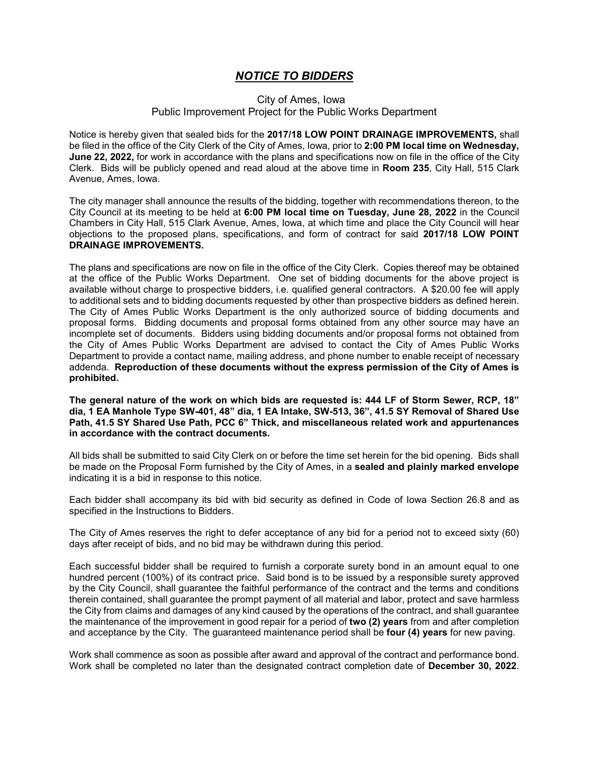## *NOTICE TO BIDDERS*

## City of Ames, Iowa Public Improvement Project for the Public Works Department

Notice is hereby given that sealed bids for the **2017/18 LOW POINT DRAINAGE IMPROVEMENTS,** shall be filed in the office of the City Clerk of the City of Ames, Iowa, prior to **2:00 PM local time on Wednesday, June 22, 2022,** for work in accordance with the plans and specifications now on file in the office of the City Clerk. Bids will be publicly opened and read aloud at the above time in **Room 235**, City Hall, 515 Clark Avenue, Ames, Iowa.

The city manager shall announce the results of the bidding, together with recommendations thereon, to the City Council at its meeting to be held at **6:00 PM local time on Tuesday, June 28, 2022** in the Council Chambers in City Hall, 515 Clark Avenue, Ames, Iowa, at which time and place the City Council will hear objections to the proposed plans, specifications, and form of contract for said **2017/18 LOW POINT DRAINAGE IMPROVEMENTS.**

The plans and specifications are now on file in the office of the City Clerk. Copies thereof may be obtained at the office of the Public Works Department. One set of bidding documents for the above project is available without charge to prospective bidders, i.e. qualified general contractors. A \$20.00 fee will apply to additional sets and to bidding documents requested by other than prospective bidders as defined herein. The City of Ames Public Works Department is the only authorized source of bidding documents and proposal forms. Bidding documents and proposal forms obtained from any other source may have an incomplete set of documents. Bidders using bidding documents and/or proposal forms not obtained from the City of Ames Public Works Department are advised to contact the City of Ames Public Works Department to provide a contact name, mailing address, and phone number to enable receipt of necessary addenda. **Reproduction of these documents without the express permission of the City of Ames is prohibited.**

**The general nature of the work on which bids are requested is: 444 LF of Storm Sewer, RCP, 18" dia, 1 EA Manhole Type SW-401, 48" dia, 1 EA Intake, SW-513, 36", 41.5 SY Removal of Shared Use Path, 41.5 SY Shared Use Path, PCC 6" Thick, and miscellaneous related work and appurtenances in accordance with the contract documents.**

All bids shall be submitted to said City Clerk on or before the time set herein for the bid opening. Bids shall be made on the Proposal Form furnished by the City of Ames, in a **sealed and plainly marked envelope** indicating it is a bid in response to this notice.

Each bidder shall accompany its bid with bid security as defined in Code of Iowa Section 26.8 and as specified in the Instructions to Bidders.

The City of Ames reserves the right to defer acceptance of any bid for a period not to exceed sixty (60) days after receipt of bids, and no bid may be withdrawn during this period.

Each successful bidder shall be required to furnish a corporate surety bond in an amount equal to one hundred percent (100%) of its contract price. Said bond is to be issued by a responsible surety approved by the City Council, shall guarantee the faithful performance of the contract and the terms and conditions therein contained, shall guarantee the prompt payment of all material and labor, protect and save harmless the City from claims and damages of any kind caused by the operations of the contract, and shall guarantee the maintenance of the improvement in good repair for a period of **two (2) years** from and after completion and acceptance by the City. The guaranteed maintenance period shall be **four (4) years** for new paving.

Work shall commence as soon as possible after award and approval of the contract and performance bond. Work shall be completed no later than the designated contract completion date of **December 30, 2022**.